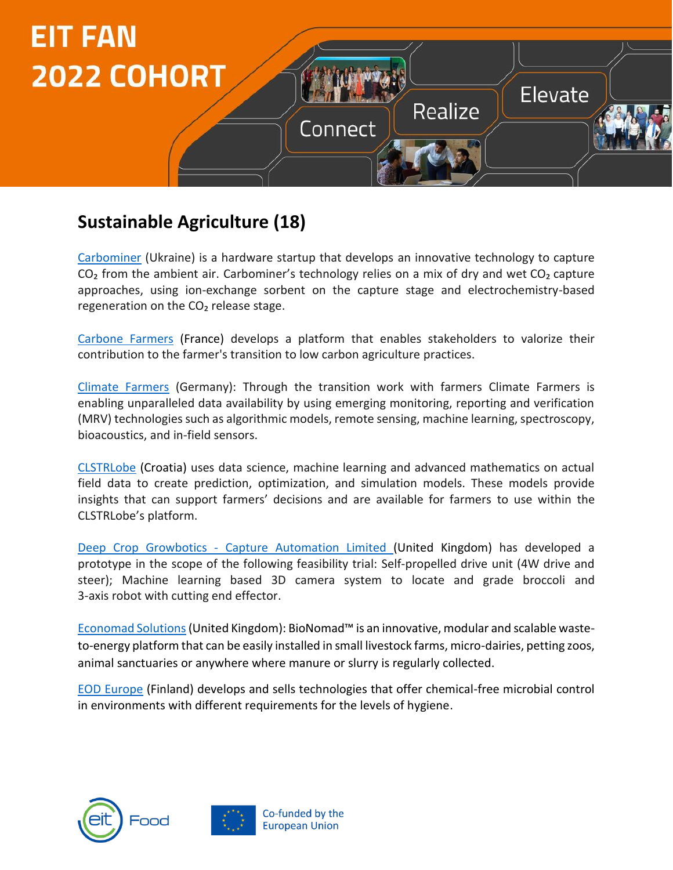

#### **Sustainable Agriculture (18)**

[Carbominer](https://carbominer.com/) (Ukraine) is a hardware startup that develops an innovative technology to capture  $CO<sub>2</sub>$  from the ambient air. Carbominer's technology relies on a mix of dry and wet  $CO<sub>2</sub>$  capture approaches, using ion-exchange sorbent on the capture stage and electrochemistry-based regeneration on the  $CO<sub>2</sub>$  release stage.

[Carbone Farmers](https://www.carbonefarmers.com/en/) (France) develops a platform that enables stakeholders to valorize their contribution to the farmer's transition to low carbon agriculture practices.

[Climate Farmers](https://www.climatefarmers.org/) (Germany): Through the transition work with farmers Climate Farmers is enabling unparalleled data availability by using emerging monitoring, reporting and verification (MRV) technologies such as algorithmic models, remote sensing, machine learning, spectroscopy, bioacoustics, and in-field sensors.

[CLSTRLobe](https://clstrlobe.com/solutions/agriculture/) (Croatia) uses data science, machine learning and advanced mathematics on actual field data to create prediction, optimization, and simulation models. These models provide insights that can support farmers' decisions and are available for farmers to use within the CLSTRLobe's platform.

Deep Crop Growbotics - Capture Automation Limited (United Kingdom) has developed a prototype in the scope of the following feasibility trial: Self-propelled drive unit (4W drive and steer); Machine learning based 3D camera system to locate and grade broccoli and 3-axis robot with cutting end effector.

[Economad Solutions\(](https://economad.co.uk/)United Kingdom): BioNomad™ is an innovative, modular and scalable wasteto-energy platform that can be easily installed in small livestock farms, micro-dairies, petting zoos, animal sanctuaries or anywhere where manure or slurry is regularly collected.

[EOD Europe](https://eod.fi/en/) (Finland) develops and sells technologies that offer chemical-free microbial control in environments with different requirements for the levels of hygiene.



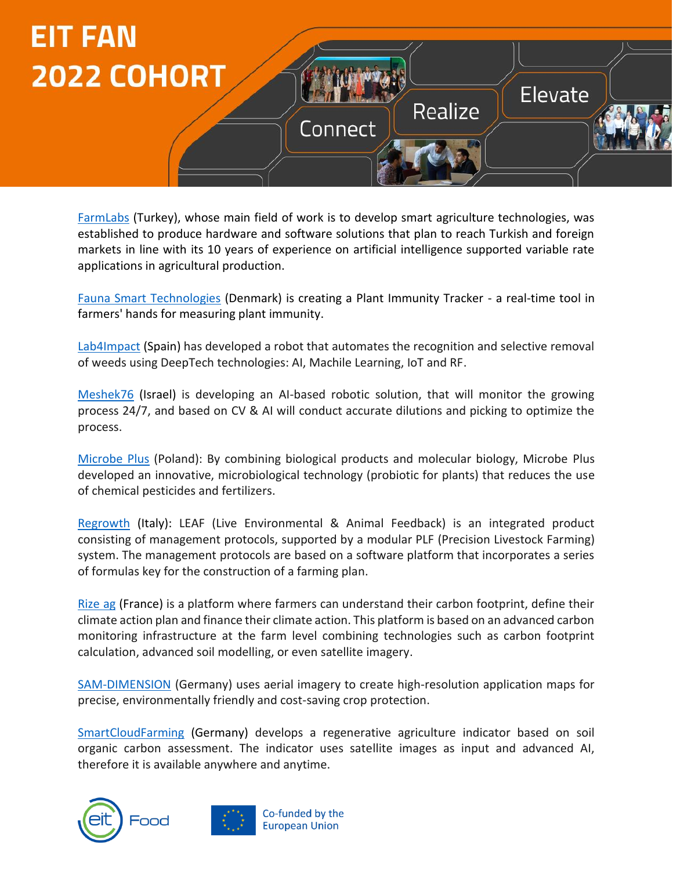

[FarmLabs](https://www.farmlabs.io/anasayfa.html) (Turkey), whose main field of work is to develop smart agriculture technologies, was established to produce hardware and software solutions that plan to reach Turkish and foreign markets in line with its 10 years of experience on artificial intelligence supported variable rate applications in agricultural production.

[Fauna Smart Technologies](https://faunasmarttechnologies.com/) (Denmark) is creating a Plant Immunity Tracker - a real-time tool in farmers' hands for measuring plant immunity.

[Lab4Impact](https://greenkillerweeds.com/) (Spain) has developed a robot that automates the recognition and selective removal of weeds using DeepTech technologies: AI, Machile Learning, IoT and RF.

[Meshek76](https://www.meshek76.com/) (Israel) is developing an AI-based robotic solution, that will monitor the growing process 24/7, and based on CV & AI will conduct accurate dilutions and picking to optimize the process.

[Microbe](https://www.microbe-plus.com/en/) Plus (Poland): By combining biological products and molecular biology, Microbe Plus developed an innovative, microbiological technology (probiotic for plants) that reduces the use of chemical pesticides and fertilizers.

[Regrowth](https://www.regrowth.it/) (Italy): LEAF (Live Environmental & Animal Feedback) is an integrated product consisting of management protocols, supported by a modular PLF (Precision Livestock Farming) system. The management protocols are based on a software platform that incorporates a series of formulas key for the construction of a farming plan.

[Rize](https://www.rizeag.com/en/home) ag (France) is a platform where farmers can understand their carbon footprint, define their climate action plan and finance their climate action. This platform is based on an advanced carbon monitoring infrastructure at the farm level combining technologies such as carbon footprint calculation, advanced soil modelling, or even satellite imagery.

[SAM-DIMENSION](https://sam-dimension.com/) (Germany) uses aerial imagery to create high-resolution application maps for precise, environmentally friendly and cost-saving crop protection.

[SmartCloudFarming](https://smartcloudfarming.com/) (Germany) develops a regenerative agriculture indicator based on soil organic carbon assessment. The indicator uses satellite images as input and advanced AI, therefore it is available anywhere and anytime.



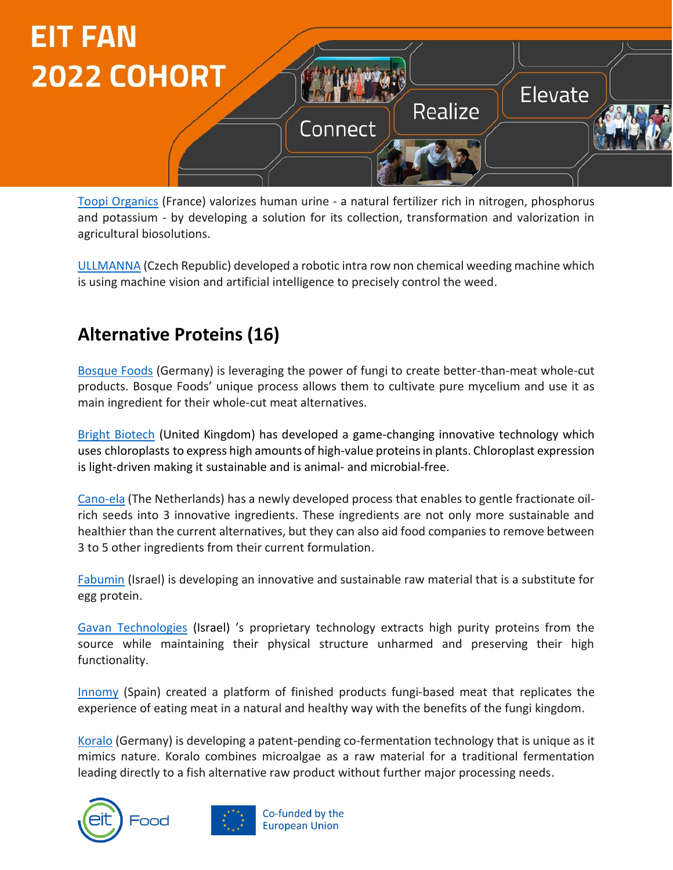

[Toopi Organics](https://toopi-organics.com/) (France) valorizes human urine - a natural fertilizer rich in nitrogen, phosphorus and potassium - by developing a solution for its collection, transformation and valorization in agricultural biosolutions.

[ULLMANNA](https://ullmanna.eu/) (Czech Republic) developed a robotic intra row non chemical weeding machine which is using machine vision and artificial intelligence to precisely control the weed.

#### **Alternative Proteins (16)**

[Bosque Foods](https://www.bosquefoods.com/) (Germany) is leveraging the power of fungi to create better-than-meat whole-cut products. Bosque Foods' unique process allows them to cultivate pure mycelium and use it as main ingredient for their whole-cut meat alternatives.

[Bright Biotech](https://www.brightbiotech.co.uk/) (United Kingdom) has developed a game-changing innovative technology which uses chloroplasts to express high amounts of high-value proteins in plants. Chloroplast expression is light-driven making it sustainable and is animal- and microbial-free.

[Cano-ela](https://www.cano-ela.com/) (The Netherlands) has a newly developed process that enables to gentle fractionate oilrich seeds into 3 innovative ingredients. These ingredients are not only more sustainable and healthier than the current alternatives, but they can also aid food companies to remove between 3 to 5 other ingredients from their current formulation.

[Fabumin](https://www.linkedin.com/company/fabumin/?originalSubdomain=il) (Israel) is developing an innovative and sustainable raw material that is a substitute for egg protein.

[Gavan Technologies](https://www.gavan.bio/) (Israel) 's proprietary technology extracts high purity proteins from the source while maintaining their physical structure unharmed and preserving their high functionality.

[Innomy](http://innomylabs.com/) (Spain) created a platform of finished products fungi-based meat that replicates the experience of eating meat in a natural and healthy way with the benefits of the fungi kingdom.

[Koralo](https://koralo-foods.com/) (Germany) is developing a patent-pending co-fermentation technology that is unique as it mimics nature. Koralo combines microalgae as a raw material for a traditional fermentation leading directly to a fish alternative raw product without further major processing needs.



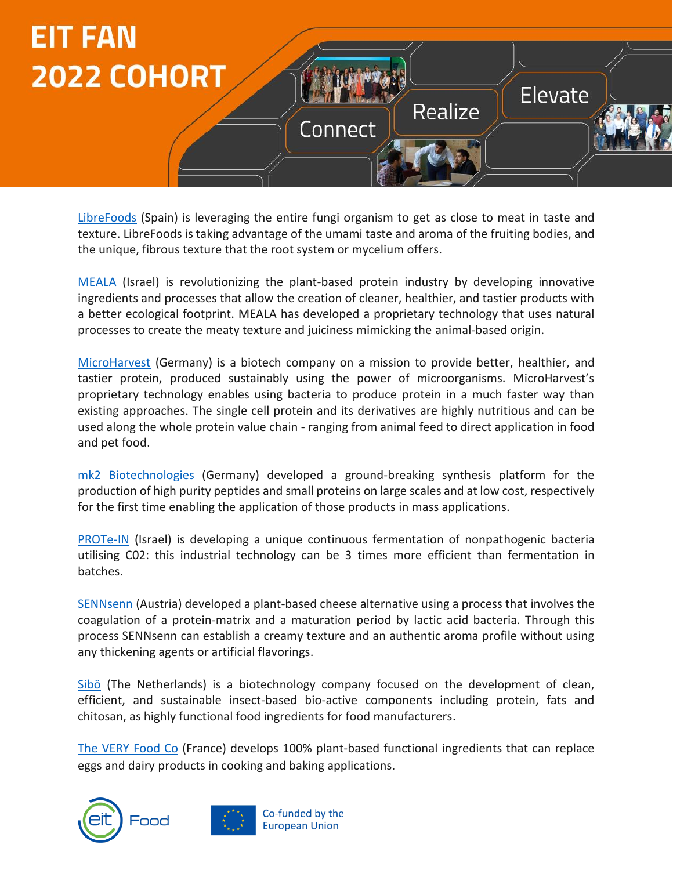

[LibreFoods](https://www.librefoods.co/) (Spain) is leveraging the entire fungi organism to get as close to meat in taste and texture. LibreFoods is taking advantage of the umami taste and aroma of the fruiting bodies, and the unique, fibrous texture that the root system or mycelium offers.

[MEALA](https://www.linkedin.com/company/meala-foodtech/) (Israel) is revolutionizing the plant-based protein industry by developing innovative ingredients and processes that allow the creation of cleaner, healthier, and tastier products with a better ecological footprint. MEALA has developed a proprietary technology that uses natural processes to create the meaty texture and juiciness mimicking the animal-based origin.

[MicroHarvest](https://microharvest.com/) (Germany) is a biotech company on a mission to provide better, healthier, and tastier protein, produced sustainably using the power of microorganisms. MicroHarvest's proprietary technology enables using bacteria to produce protein in a much faster way than existing approaches. The single cell protein and its derivatives are highly nutritious and can be used along the whole protein value chain - ranging from animal feed to direct application in food and pet food.

[mk2 Biotechnologies](https://mk2.bio/) (Germany) developed a ground-breaking synthesis platform for the production of high purity peptides and small proteins on large scales and at low cost, respectively for the first time enabling the application of those products in mass applications.

[PROTe-IN](https://www.linkedin.com/company/prote-in) (Israel) is developing a unique continuous fermentation of nonpathogenic bacteria utilising C02: this industrial technology can be 3 times more efficient than fermentation in batches.

[SENNsenn](http://www.sennsenn.at/) (Austria) developed a plant-based cheese alternative using a process that involves the coagulation of a protein-matrix and a maturation period by lactic acid bacteria. Through this process SENNsenn can establish a creamy texture and an authentic aroma profile without using any thickening agents or artificial flavorings.

[Sibö](https://sibo.tech/) (The Netherlands) is a biotechnology company focused on the development of clean, efficient, and sustainable insect-based bio-active components including protein, fats and chitosan, as highly functional food ingredients for food manufacturers.

[The VERY Food Co](https://www.theveryfood.co/) (France) develops 100% plant-based functional ingredients that can replace eggs and dairy products in cooking and baking applications.



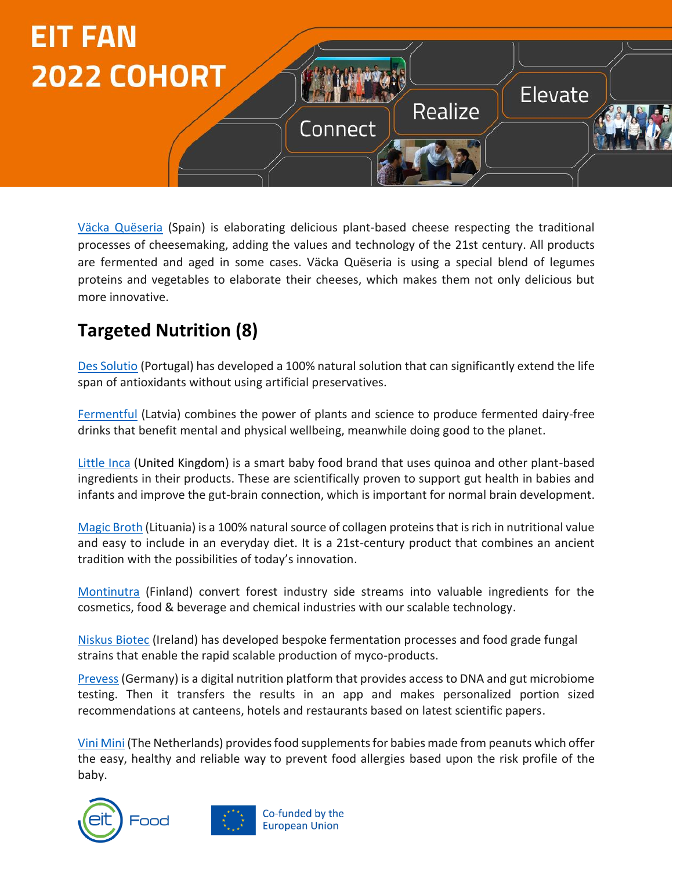

[Väcka Quëseria](https://vacka.es/) (Spain) is elaborating delicious plant-based cheese respecting the traditional processes of cheesemaking, adding the values and technology of the 21st century. All products are fermented and aged in some cases. Väcka Quëseria is using a special blend of legumes proteins and vegetables to elaborate their cheeses, which makes them not only delicious but more innovative.

## **Targeted Nutrition (8)**

[Des Solutio](https://dessolutio.com/) (Portugal) has developed a 100% natural solution that can significantly extend the life span of antioxidants without using artificial preservatives.

[Fermentful](https://www.fermentful.com/) (Latvia) combines the power of plants and science to produce fermented dairy-free drinks that benefit mental and physical wellbeing, meanwhile doing good to the planet.

[Little](https://littleinca.com/) Inca (United Kingdom) is a smart baby food brand that uses quinoa and other plant-based ingredients in their products. These are scientifically proven to support gut health in babies and infants and improve the gut-brain connection, which is important for normal brain development.

[Magic Broth](https://www.linkedin.com/company/magic-broth/) (Lituania) is a 100% natural source of collagen proteins that is rich in nutritional value and easy to include in an everyday diet. It is a 21st-century product that combines an ancient tradition with the possibilities of today's innovation.

[Montinutra](https://www.montinutra.com/) (Finland) convert forest industry side streams into valuable ingredients for the cosmetics, food & beverage and chemical industries with our scalable technology.

[Niskus Biotec](http://niskusbiotec.com/) (Ireland) has developed bespoke fermentation processes and food grade fungal strains that enable the rapid scalable production of myco-products.

[Prevess](https://prevess.com/en/) (Germany) is a digital nutrition platform that provides access to DNA and gut microbiome testing. Then it transfers the results in an app and makes personalized portion sized recommendations at canteens, hotels and restaurants based on latest scientific papers.

Vin[i Mini](https://vinimini.nl/) (The Netherlands) provides food supplements for babies made from peanuts which offer the easy, healthy and reliable way to prevent food allergies based upon the risk profile of the baby.

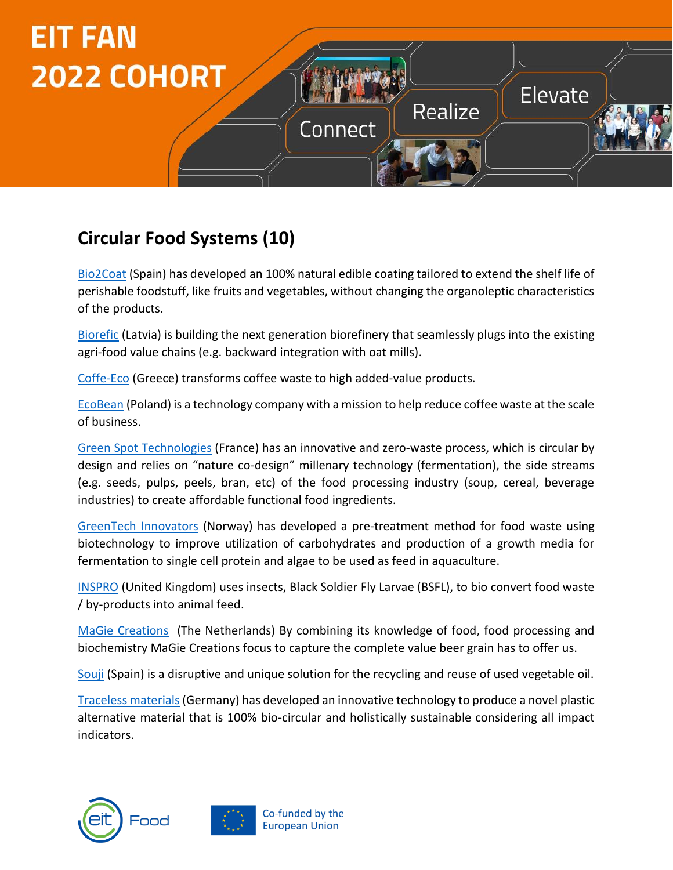

## **Circular Food Systems (10)**

[Bio2Coat](http://http/bio2coat.com/en/) (Spain) has developed an 100% natural edible coating tailored to extend the shelf life of perishable foodstuff, like fruits and vegetables, without changing the organoleptic characteristics of the products.

[Biorefic](https://biorefic.com/) (Latvia) is building the next generation biorefinery that seamlessly plugs into the existing agri-food value chains (e.g. backward integration with oat mills).

[Coffe-Eco](https://coffe-eco.gr/#why-coffeco) (Greece) transforms coffee waste to high added-value products.

[EcoBean](https://ecobean.pl/) (Poland) is a technology company with a mission to help reduce coffee waste at the scale of business.

[Green Spot Technologies](https://greenspot-tech.com/en/) (France) has an innovative and zero-waste process, which is circular by design and relies on "nature co-design" millenary technology (fermentation), the side streams (e.g. seeds, pulps, peels, bran, etc) of the food processing industry (soup, cereal, beverage industries) to create affordable functional food ingredients.

[GreenTech](https://www.greentechinnovators.no/) Innovators (Norway) has developed a pre-treatment method for food waste using biotechnology to improve utilization of carbohydrates and production of a growth media for fermentation to single cell protein and algae to be used as feed in aquaculture.

[INSPRO](https://www.inspro-uk.com/) (United Kingdom) uses insects, Black Soldier Fly Larvae (BSFL), to bio convert food waste / by-products into animal feed.

[MaGie Creations](https://magiecreations.com/) (The Netherlands) By combining its knowledge of food, food processing and biochemistry MaGie Creations focus to capture the complete value beer grain has to offer us.

[Souji](http://souji.es/) (Spain) is a disruptive and unique solution for the recycling and reuse of used vegetable oil.

[Traceless materials\(](https://www.traceless.eu/)Germany) has developed an innovative technology to produce a novel plastic alternative material that is 100% bio-circular and holistically sustainable considering all impact indicators.



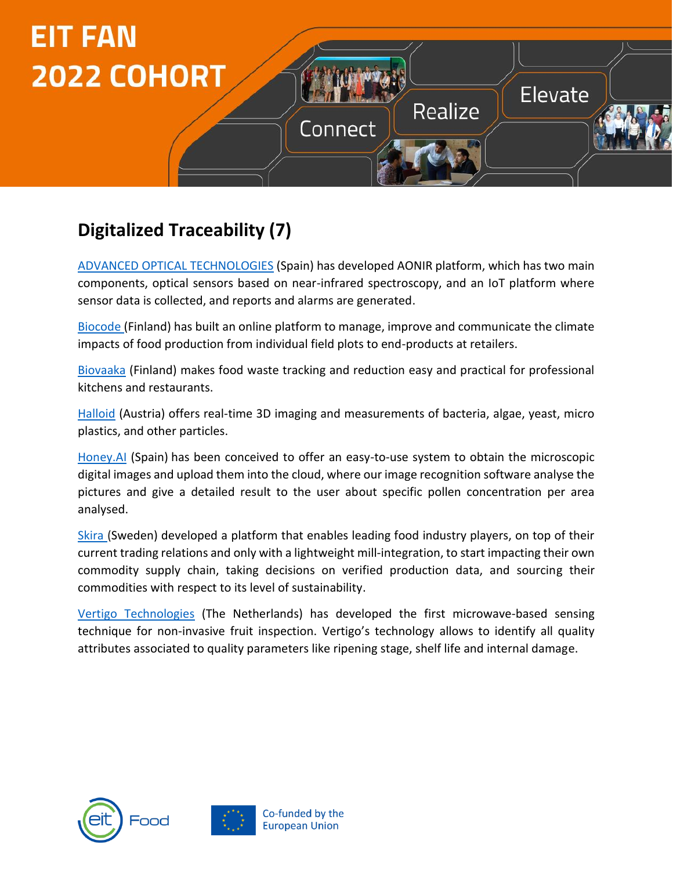

# **Digitalized Traceability (7)**

[ADVANCED OPTICAL](https://aotech.es/) TECHNOLOGIES (Spain) has developed AONIR platform, which has two main components, optical sensors based on near-infrared spectroscopy, and an IoT platform where sensor data is collected, and reports and alarms are generated.

[Biocode](https://biocode.io/) (Finland) has built an online platform to manage, improve and communicate the climate impacts of food production from individual field plots to end-products at retailers.

[Biovaaka](https://biovaaka.fi/en/) (Finland) makes food waste tracking and reduction easy and practical for professional kitchens and restaurants.

[Halloid](https://www.holloid.com/) (Austria) offers real-time 3D imaging and measurements of bacteria, algae, yeast, micro plastics, and other particles.

[Honey.AI](http://https/honey-ai.com) (Spain) has been conceived to offer an easy-to-use system to obtain the microscopic digital images and upload them into the cloud, where our image recognition software analyse the pictures and give a detailed result to the user about specific pollen concentration per area analysed.

[Skira](https://www.holloid.com/) (Sweden) developed a platform that enables leading food industry players, on top of their current trading relations and only with a lightweight mill-integration, to start impacting their own commodity supply chain, taking decisions on verified production data, and sourcing their commodities with respect to its level of sustainability.

Vertigo [Technologies](https://fresco.vertigo-tech.com/) (The Netherlands) has developed the first microwave-based sensing technique for non-invasive fruit inspection. Vertigo's technology allows to identify all quality attributes associated to quality parameters like ripening stage, shelf life and internal damage.